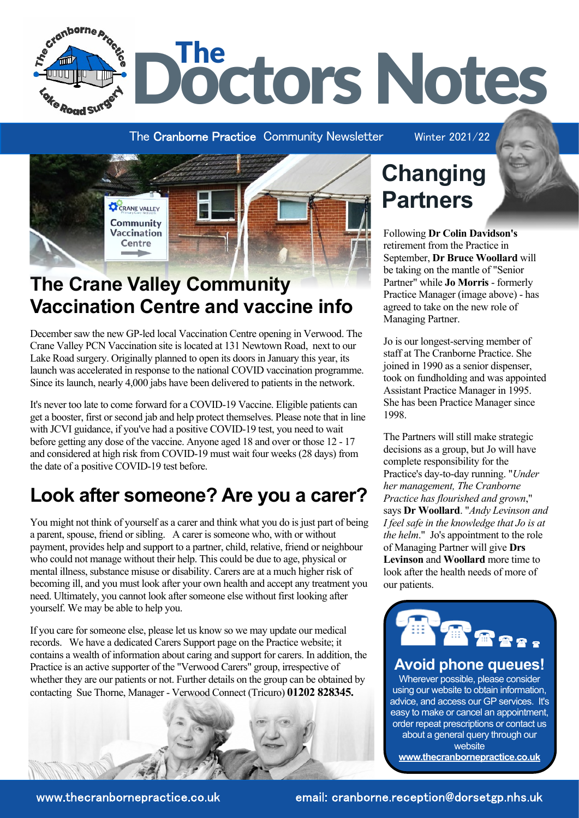

The Cranborne Practice Community Newsletter Winter 2021/22



### **The Crane Valley Community Vaccination Centre and vaccine info**

December saw the new GP-led local Vaccination Centre opening in Verwood. The Crane Valley PCN Vaccination site is located at 131 Newtown Road, next to our Lake Road surgery. Originally planned to open its doors in January this year, its launch was accelerated in response to the national COVID vaccination programme. Since its launch, nearly 4,000 jabs have been delivered to patients in the network.

It's never too late to come forward for a COVID-19 Vaccine. Eligible patients can get a booster, first or second jab and help protect themselves. Please note that in line with JCVI guidance, if you've had a positive COVID-19 test, you need to wait before getting any dose of the vaccine. Anyone aged 18 and over or those 12 - 17 and considered at high risk from COVID-19 must wait four weeks (28 days) from the date of a positive COVID-19 test before.

### **Look after someone? Are you a carer?**

You might not think of yourself as a carer and think what you do is just part of being a parent, spouse, friend or sibling. A carer is someone who, with or without payment, provides help and support to a partner, child, relative, friend or neighbour who could not manage without their help. This could be due to age, physical or mental illness, substance misuse or disability. Carers are at a much higher risk of becoming ill, and you must look after your own health and accept any treatment you need. Ultimately, you cannot look after someone else without first looking after yourself. We may be able to help you.

If you care for someone else, please let us know so we may update our medical records. We have a dedicated Carers Support page on the Practice website; it contains a wealth of information about caring and support for carers. In addition, the Practice is an active supporter of the "Verwood Carers" group, irrespective of whether they are our patients or not. Further details on the group can be obtained by contacting Sue Thorne, Manager - Verwood Connect (Tricuro) **01202 828345.**



## **Changing Partners**

Following **Dr Colin Davidson's** retirement from the Practice in September, **Dr Bruce Woollard** will be taking on the mantle of "Senior Partner" while **Jo Morris** - formerly Practice Manager (image above) - has agreed to take on the new role of Managing Partner.

Jo is our longest-serving member of staff at The Cranborne Practice. She joined in 1990 as a senior dispenser, took on fundholding and was appointed Assistant Practice Manager in 1995. She has been Practice Manager since 1998.

The Partners will still make strategic decisions as a group, but Jo will have complete responsibility for the Practice's day-to-day running. "*Under her management, The Cranborne Practice has flourished and grown*," says **Dr Woollard**. "*Andy Levinson and I feel safe in the knowledge that Jo is at the helm*." Jo's appointment to the role of Managing Partner will give **Drs Levinson** and **Woollard** more time to look after the health needs of more of our patients.



### **Avoid phone queues!**

Wherever possible, please consider using our website to obtain information, advice, and access our GP services. It's easy to make or cancel an appointment, order repeat prescriptions or contact us about a general query through our website **[www.thecranbornepractice.co.uk](https://thecranbornepractice.co.uk/)**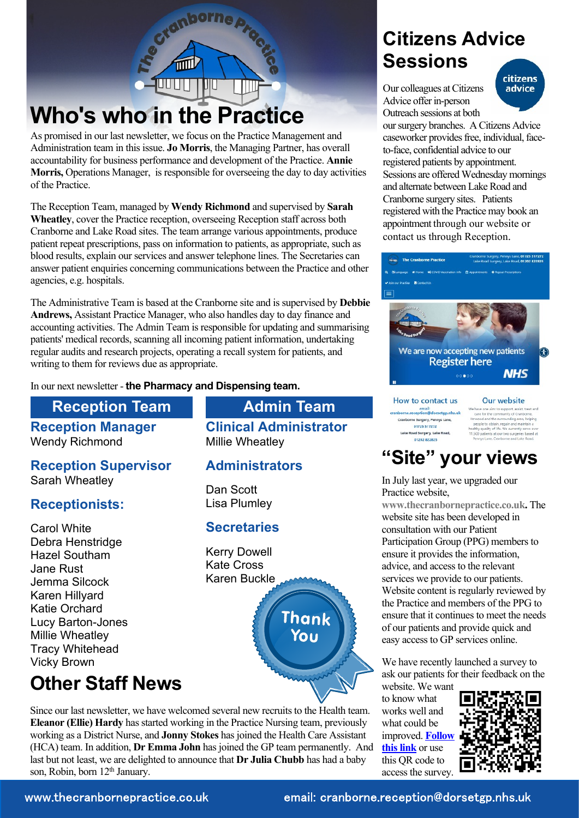# **Who's who in the Practice**

UUUT

As promised in our last newsletter, we focus on the Practice Management and Administration team in this issue. **Jo Morris**, the Managing Partner, has overall accountability for business performance and development of the Practice. **Annie Morris,** Operations Manager, is responsible for overseeing the day to day activities of the Practice.

tranborne<sub>p</sub>

UIT

The Reception Team, managed by **Wendy Richmond** and supervised by **Sarah Wheatley**, cover the Practice reception, overseeing Reception staff across both Cranborne and Lake Road sites. The team arrange various appointments, produce patient repeat prescriptions, pass on information to patients, as appropriate, such as blood results, explain our services and answer telephone lines. The Secretaries can answer patient enquiries concerning communications between the Practice and other agencies, e.g. hospitals.

The Administrative Team is based at the Cranborne site and is supervised by **Debbie Andrews,** Assistant Practice Manager, who also handles day to day finance and accounting activities. The Admin Team is responsible for updating and summarising patients' medical records, scanning all incoming patient information, undertaking regular audits and research projects, operating a recall system for patients, and writing to them for reviews due as appropriate.

In our next newsletter - **the Pharmacy and Dispensing team.**

#### **Reception Team Admin Team**

**Reception Manager** Wendy Richmond

**Reception Supervisor** Sarah Wheatley

#### **Receptionists:**

Carol White Debra Henstridge Hazel Southam Jane Rust Jemma Silcock Karen Hillyard Katie Orchard Lucy Barton-Jones Millie Wheatley Tracy Whitehead Vicky Brown

### **Other Staff News**

**Clinical Administrator** Millie Wheatley

#### **Administrators**

Dan Scott Lisa Plumley

#### **Secretaries**

Kerry Dowell Kate Cross Karen Buckle



Since our last newsletter, we have welcomed several new recruits to the Health team. **Eleanor (Ellie) Hardy** has started working in the Practice Nursing team, previously working as a District Nurse, and **Jonny Stokes** has joined the Health Care Assistant (HCA) team. In addition, **Dr Emma John** has joined the GP team permanently. And last but not least, we are delighted to announce that **Dr Julia Chubb** has had a baby son, Robin, born 12<sup>th</sup> January.

### **Citizens Advice Sessions**

Our colleagues at Citizens Advice offer in-person Outreach sessions at both



our surgery branches. A Citizens Advice caseworker provides free, individual, faceto-face, confidential advice to our registered patients by appointment. Sessions are offered Wednesday mornings and alternate between Lake Road and Cranborne surgery sites. Patients registered with the Practice may book an appointment through our website or contact us through Reception.



#### email:<br>orne.reception@dorsetgp.nhs.uk

Cranborne Surgery, Pennys Lane 01725 517272 Lake Road Surgery, Lake Road, 01202822825

### **"Site" your views**

In July last year, we upgraded our Practice website,

**[www.thecranbornepractice.co.uk.](https://thecranbornepractice.co.uk/)** The website site has been developed in consultation with our Patient Participation Group (PPG) members to ensure it provides the information, advice, and access to the relevant services we provide to our patients. Website content is regularly reviewed by the Practice and members of the PPG to ensure that it continues to meet the needs of our patients and provide quick and easy access to GP services online.

We have recently launched a survey to ask our patients for their feedback on the

website. We want to know what works well and what could be improved. **[Follow](https://forms.office.com/r/m9upZ3rRRs) [this link](https://forms.office.com/r/m9upZ3rRRs)** or use this QR code to access the survey.



www.thecranbornepractice.co.uk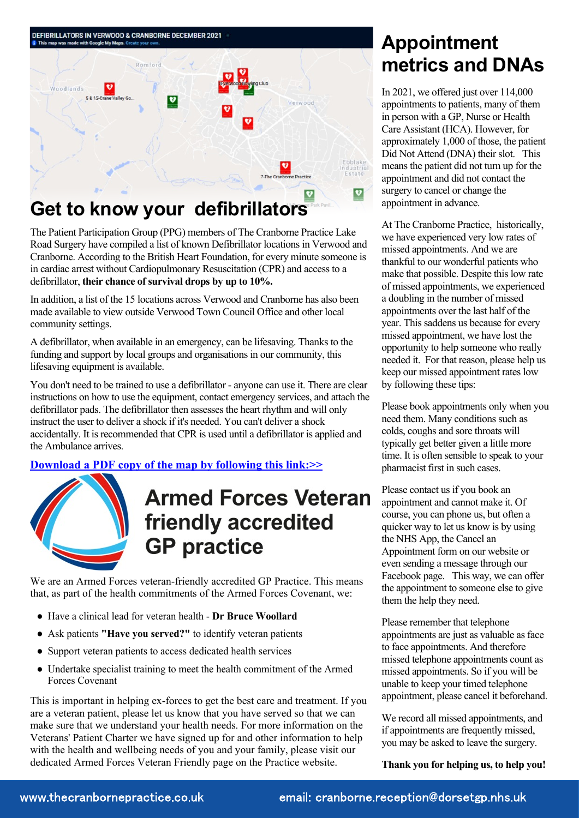

The Patient Participation Group (PPG) members of The Cranborne Practice Lake Road Surgery have compiled a list of known Defibrillator locations in Verwood and Cranborne. According to the British Heart Foundation, for every minute someone is in cardiac arrest without Cardiopulmonary Resuscitation (CPR) and access to a defibrillator, **their chance of survival drops by up to 10%.**

In addition, a list of the 15 locations across Verwood and Cranborne has also been made available to view outside Verwood Town Council Office and other local community settings.

A defibrillator, when available in an emergency, can be lifesaving. Thanks to the funding and support by local groups and organisations in our community, this lifesaving equipment is available.

You don't need to be trained to use a defibrillator - anyone can use it. There are clear instructions on how to use the equipment, contact emergency services, and attach the defibrillator pads. The defibrillator then assesses the heart rhythm and will only instruct the user to deliver a shock if it's needed. You can't deliver a shock accidentally. It is recommended that CPR is used until a defibrillator is applied and the Ambulance arrives.

**[Download a PDF copy of the map by following this link:>>](https://thecranbornepractice.co.uk/_common/getdocument/172888)**



## **Armed Forces Veteran** friendly accredited **GP** practice

We are an Armed Forces veteran-friendly accredited GP Practice. This means that, as part of the health commitments of the Armed Forces Covenant, we:

- Have a clinical lead for veteran health **Dr Bruce Woollard**
- Ask patients **"Have you served?"** to identify veteran patients
- Support veteran patients to access dedicated health services
- Undertake specialist training to meet the health commitment of the Armed Forces Covenant

This is important in helping ex-forces to get the best care and treatment. If you are a veteran patient, please let us know that you have served so that we can make sure that we understand your health needs. For more information on the Veterans' Patient Charter we have signed up for and other information to help with the health and wellbeing needs of you and your family, please visit our dedicated Armed Forces Veteran Friendly page on the Practice website.

### **Appointment metrics and DNAs**

In 2021, we offered just over 114,000 appointments to patients, many of them in person with a GP, Nurse or Health Care Assistant (HCA). However, for approximately 1,000 of those, the patient Did Not Attend (DNA) their slot. This means the patient did not turn up for the appointment and did not contact the surgery to cancel or change the appointment in advance.

At The Cranborne Practice, historically, we have experienced very low rates of missed appointments. And we are thankful to our wonderful patients who make that possible. Despite this low rate of missed appointments, we experienced a doubling in the number of missed appointments over the last half of the year. This saddens us because for every missed appointment, we have lost the opportunity to help someone who really needed it. For that reason, please help us keep our missed appointment rates low by following these tips:

Please book appointments only when you need them. Many conditions such as colds, coughs and sore throats will typically get better given a little more time. It is often sensible to speak to your pharmacist first in such cases.

Please contact us if you book an appointment and cannot make it. Of course, you can phone us, but often a quicker way to let us know is by using the NHS App, the Cancel an Appointment form on our website or even sending a message through our Facebook page. This way, we can offer the appointment to someone else to give them the help they need.

Please remember that telephone appointments are just as valuable as face to face appointments. And therefore missed telephone appointments count as missed appointments. So if you will be unable to keep your timed telephone appointment, please cancel it beforehand.

We record all missed appointments, and if appointments are frequently missed, you may be asked to leave the surgery.

**Thank you for helping us, to help you!**